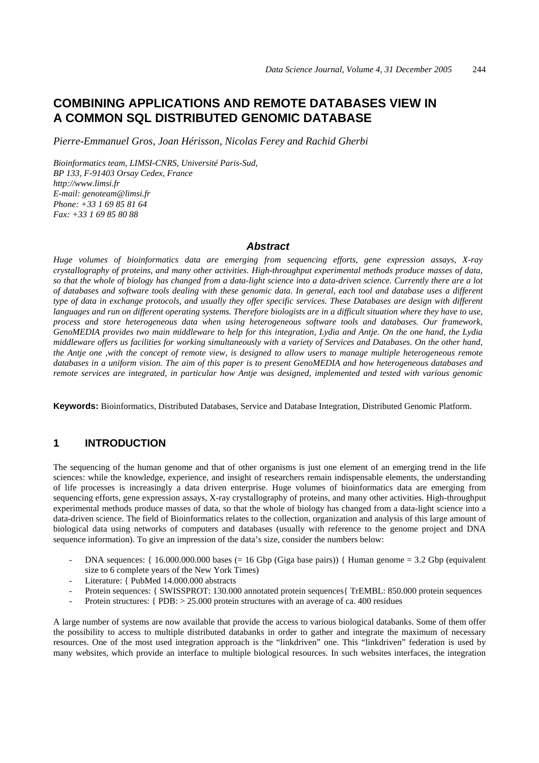# **COMBINING APPLICATIONS AND REMOTE DATABASES VIEW IN A COMMON SQL DISTRIBUTED GENOMIC DATABASE**

*Pierre-Emmanuel Gros, Joan Hérisson, Nicolas Ferey and Rachid Gherbi* 

*Bioinformatics team, LIMSI-CNRS, Université Paris-Sud, BP 133, F-91403 Orsay Cedex, France http://www.limsi.fr E-mail: genoteam@limsi.fr Phone: +33 1 69 85 81 64 Fax: +33 1 69 85 80 88* 

#### *Abstract*

*Huge volumes of bioinformatics data are emerging from sequencing efforts, gene expression assays, X-ray crystallography of proteins, and many other activities. High-throughput experimental methods produce masses of data, so that the whole of biology has changed from a data-light science into a data-driven science. Currently there are a lot of databases and software tools dealing with these genomic data. In general, each tool and database uses a different type of data in exchange protocols, and usually they offer specific services. These Databases are design with different languages and run on different operating systems. Therefore biologists are in a difficult situation where they have to use, process and store heterogeneous data when using heterogeneous software tools and databases. Our framework, GenoMEDIA provides two main middleware to help for this integration, Lydia and Antje. On the one hand, the Lydia middleware offers us facilities for working simultaneously with a variety of Services and Databases. On the other hand, the Antje one ,with the concept of remote view, is designed to allow users to manage multiple heterogeneous remote databases in a uniform vision. The aim of this paper is to present GenoMEDIA and how heterogeneous databases and remote services are integrated, in particular how Antje was designed, implemented and tested with various genomic*

**Keywords:** Bioinformatics, Distributed Databases, Service and Database Integration, Distributed Genomic Platform.

#### **1 INTRODUCTION**

The sequencing of the human genome and that of other organisms is just one element of an emerging trend in the life sciences: while the knowledge, experience, and insight of researchers remain indispensable elements, the understanding of life processes is increasingly a data driven enterprise. Huge volumes of bioinformatics data are emerging from sequencing efforts, gene expression assays, X-ray crystallography of proteins, and many other activities. High-throughput experimental methods produce masses of data, so that the whole of biology has changed from a data-light science into a data-driven science. The field of Bioinformatics relates to the collection, organization and analysis of this large amount of biological data using networks of computers and databases (usually with reference to the genome project and DNA sequence information). To give an impression of the data's size, consider the numbers below:

- DNA sequences:  $\{16.000.000.000 \text{ bases } (= 16 \text{ Gbp (Giga base pairs)})\}$  Human genome = 3.2 Gbp (equivalent size to 6 complete years of the New York Times)
- Literature: { PubMed 14.000.000 abstracts
- Protein sequences: { SWISSPROT: 130.000 annotated protein sequences { TrEMBL: 850.000 protein sequences
- Protein structures: { PDB: > 25.000 protein structures with an average of ca. 400 residues

A large number of systems are now available that provide the access to various biological databanks. Some of them offer the possibility to access to multiple distributed databanks in order to gather and integrate the maximum of necessary resources. One of the most used integration approach is the "linkdriven" one. This "linkdriven" federation is used by many websites, which provide an interface to multiple biological resources. In such websites interfaces, the integration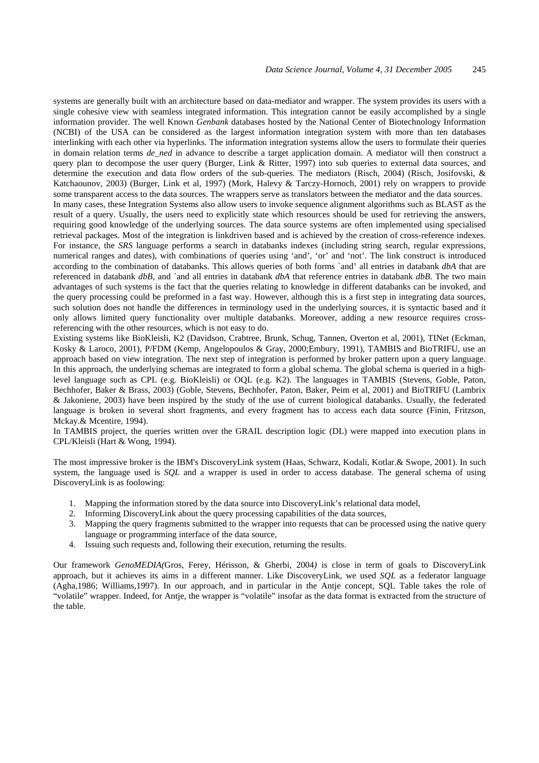systems are generally built with an architecture based on data-mediator and wrapper. The system provides its users with a single cohesive view with seamless integrated information. This integration cannot be easily accomplished by a single information provider. The well Known *Genbank* databases hosted by the National Center of Biotechnology Information (NCBI) of the USA can be considered as the largest information integration system with more than ten databases interlinking with each other via hyperlinks. The information integration systems allow the users to formulate their queries in domain relation terms *de\_ned* in advance to describe a target application domain. A mediator will then construct a query plan to decompose the user query (Burger, Link & Ritter, 1997) into sub queries to external data sources, and determine the execution and data flow orders of the sub-queries. The mediators (Risch, 2004) (Risch, Josifovski, & Katchaounov, 2003) (Burger, Link et al, 1997) (Mork, Halevy & Tarczy-Hornoch, 2001) rely on wrappers to provide some transparent access to the data sources. The wrappers serve as translators between the mediator and the data sources. In many cases, these Integration Systems also allow users to invoke sequence alignment algorithms such as BLAST as the result of a query. Usually, the users need to explicitly state which resources should be used for retrieving the answers, requiring good knowledge of the underlying sources. The data source systems are often implemented using specialised retrieval packages. Most of the integration is linkdriven based and is achieved by the creation of cross-reference indexes. For instance, the *SRS* language performs a search in databanks indexes (including string search, regular expressions, numerical ranges and dates), with combinations of queries using 'and', 'or' and 'not'. The link construct is introduced according to the combination of databanks. This allows queries of both forms `and' all entries in databank *dbA* that are referenced in databank *dbB*, and `and all entries in databank *dbA* that reference entries in databank *dbB*. The two main advantages of such systems is the fact that the queries relating to knowledge in different databanks can be invoked, and the query processing could be preformed in a fast way. However, although this is a first step in integrating data sources, such solution does not handle the differences in terminology used in the underlying sources, it is syntactic based and it only allows limited query functionality over multiple databanks. Moreover, adding a new resource requires crossreferencing with the other resources, which is not easy to do.

Existing systems like BioKleisli, K2 (Davidson, Crabtree, Brunk, Schug, Tannen, Overton et al, 2001), TINet (Eckman, Kosky & Laroco, 2001), P/FDM (Kemp, Angelopoulos & Gray, 2000;Embury, 1991), TAMBIS and BioTRIFU, use an approach based on view integration. The next step of integration is performed by broker pattern upon a query language. In this approach, the underlying schemas are integrated to form a global schema. The global schema is queried in a highlevel language such as CPL (e.g. BioKleisli) or OQL (e.g. K2). The languages in TAMBIS (Stevens, Goble, Paton, Bechhofer, Baker & Brass, 2003) (Goble, Stevens, Bechhofer, Paton, Baker, Peim et al, 2001) and BioTRIFU (Lambrix & Jakoniene, 2003) have been inspired by the study of the use of current biological databanks. Usually, the federated language is broken in several short fragments, and every fragment has to access each data source (Finin, Fritzson, Mckay.& Mcentire, 1994).

In TAMBIS project, the queries written over the GRAIL description logic (DL) were mapped into execution plans in CPL/Kleisli (Hart & Wong, 1994).

The most impressive broker is the IBM's DiscoveryLink system (Haas, Schwarz, Kodali, Kotlar.& Swope, 2001). In such system, the language used is *SQL* and a wrapper is used in order to access database. The general schema of using DiscoveryLink is as foolowing:

- 1. Mapping the information stored by the data source into DiscoveryLink's relational data model,
- 2. Informing DiscoveryLink about the query processing capabilities of the data sources,
- 3. Mapping the query fragments submitted to the wrapper into requests that can be processed using the native query language or programming interface of the data source,
- 4. Issuing such requests and, following their execution, returning the results.

Our framework *GenoMEDIA(*Gros, Ferey, Hérisson, & Gherbi, 2004*)* is close in term of goals to DiscoveryLink approach, but it achieves its aims in a different manner. Like DiscoveryLink, we used *SQL* as a federator language (Agha,1986; Williams,1997). In our approach, and in particular in the Antje concept, SQL Table takes the role of "volatile" wrapper. Indeed, for Antje, the wrapper is "volatile" insofar as the data format is extracted from the structure of the table.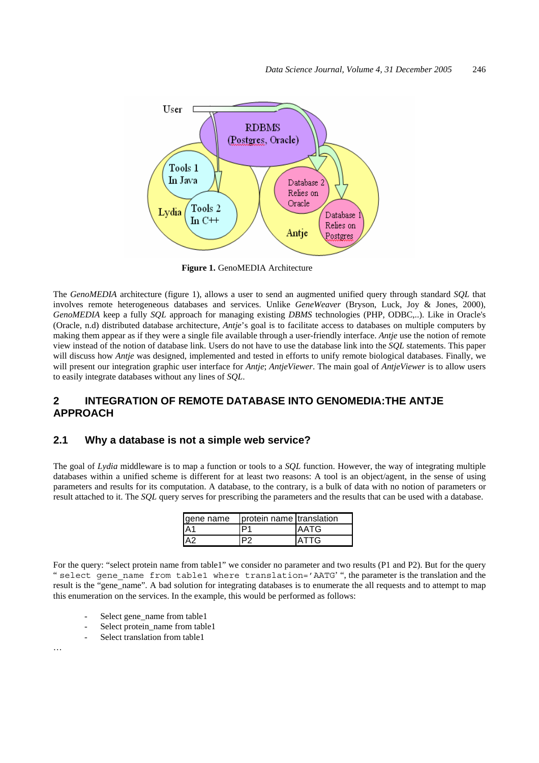

**Figure 1.** GenoMEDIA Architecture

The *GenoMEDIA* architecture (figure 1), allows a user to send an augmented unified query through standard *SQL* that involves remote heterogeneous databases and services. Unlike *GeneWeaver* (Bryson, Luck, Joy & Jones, 2000), *GenoMEDIA* keep a fully *SQL* approach for managing existing *DBMS* technologies (PHP, ODBC,..). Like in Oracle's (Oracle, n.d) distributed database architecture, *Antje*'s goal is to facilitate access to databases on multiple computers by making them appear as if they were a single file available through a user-friendly interface. *Antje* use the notion of remote view instead of the notion of database link. Users do not have to use the database link into the *SQL* statements. This paper will discuss how *Antje* was designed, implemented and tested in efforts to unify remote biological databases. Finally, we will present our integration graphic user interface for *Antje*; *AntjeViewer*. The main goal of *AntjeViewer* is to allow users to easily integrate databases without any lines of *SQL*.

## **2 INTEGRATION OF REMOTE DATABASE INTO GENOMEDIA:THE ANTJE APPROACH**

#### **2.1 Why a database is not a simple web service?**

The goal of *Lydia* middleware is to map a function or tools to a *SQL* function. However, the way of integrating multiple databases within a unified scheme is different for at least two reasons: A tool is an object/agent, in the sense of using parameters and results for its computation. A database, to the contrary, is a bulk of data with no notion of parameters or result attached to it. The *SQL* query serves for prescribing the parameters and the results that can be used with a database.

| gene name | protein name translation |             |
|-----------|--------------------------|-------------|
| IA1       | יםי                      | <b>AATG</b> |
|           |                          | <b>ATTG</b> |

For the query: "select protein name from table1" we consider no parameter and two results (P1 and P2). But for the query " select gene name from table1 where translation='AATG' ", the parameter is the translation and the result is the "gene\_name". A bad solution for integrating databases is to enumerate the all requests and to attempt to map this enumeration on the services. In the example, this would be performed as follows:

- Select gene\_name from table1
- Select protein\_name from table1
- Select translation from table1

…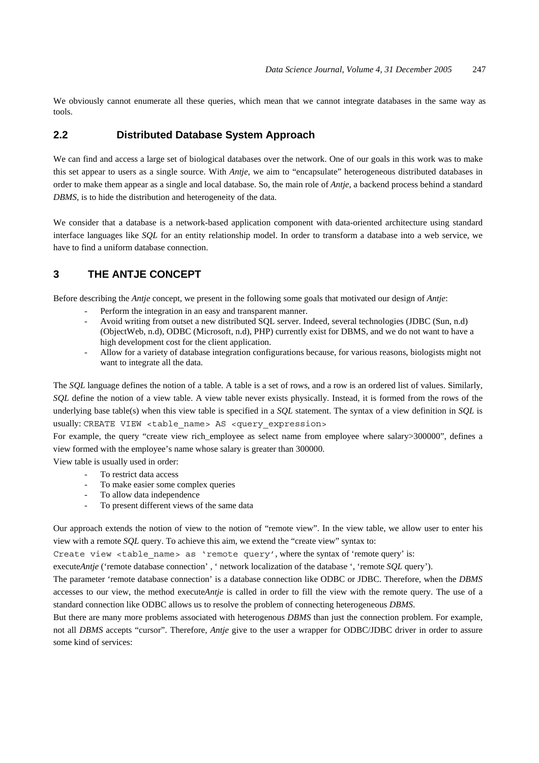We obviously cannot enumerate all these queries, which mean that we cannot integrate databases in the same way as tools.

## **2.2 Distributed Database System Approach**

We can find and access a large set of biological databases over the network. One of our goals in this work was to make this set appear to users as a single source. With *Antje*, we aim to "encapsulate" heterogeneous distributed databases in order to make them appear as a single and local database. So, the main role of *Antje*, a backend process behind a standard *DBMS*, is to hide the distribution and heterogeneity of the data.

We consider that a database is a network-based application component with data-oriented architecture using standard interface languages like *SQL* for an entity relationship model. In order to transform a database into a web service, we have to find a uniform database connection.

## **3 THE ANTJE CONCEPT**

Before describing the *Antje* concept, we present in the following some goals that motivated our design of *Antje*:

- Perform the integration in an easy and transparent manner.
- Avoid writing from outset a new distributed SQL server. Indeed, several technologies (JDBC (Sun, n.d) (ObjectWeb, n.d), ODBC (Microsoft, n.d), PHP) currently exist for DBMS, and we do not want to have a high development cost for the client application.
- Allow for a variety of database integration configurations because, for various reasons, biologists might not want to integrate all the data.

The *SQL* language defines the notion of a table. A table is a set of rows, and a row is an ordered list of values. Similarly, *SQL* define the notion of a view table. A view table never exists physically. Instead, it is formed from the rows of the underlying base table(s) when this view table is specified in a *SQL* statement. The syntax of a view definition in *SQL* is usually: CREATE VIEW <table name> AS <query expression>

For example, the query "create view rich\_employee as select name from employee where salary>300000", defines a view formed with the employee's name whose salary is greater than 300000.

View table is usually used in order:

- To restrict data access
- To make easier some complex queries
- To allow data independence
- To present different views of the same data

Our approach extends the notion of view to the notion of "remote view". In the view table, we allow user to enter his view with a remote *SQL* query. To achieve this aim, we extend the "create view" syntax to:

Create view  $$ 

execute*Antje* ('remote database connection', ' network localization of the database ', 'remote *SQL* query').

The parameter 'remote database connection' is a database connection like ODBC or JDBC. Therefore, when the *DBMS* accesses to our view, the method execute*Antje* is called in order to fill the view with the remote query. The use of a standard connection like ODBC allows us to resolve the problem of connecting heterogeneous *DBMS*.

But there are many more problems associated with heterogenous *DBMS* than just the connection problem. For example, not all *DBMS* accepts "cursor". Therefore, *Antje* give to the user a wrapper for ODBC/JDBC driver in order to assure some kind of services: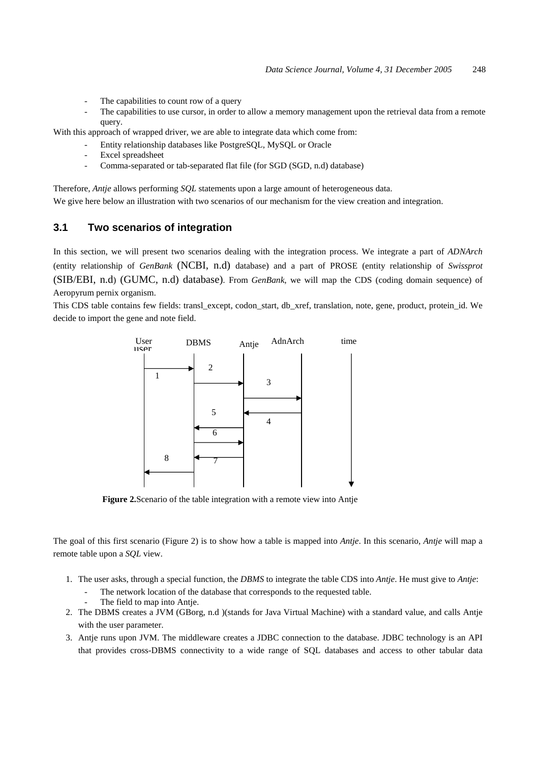- The capabilities to count row of a query
- The capabilities to use cursor, in order to allow a memory management upon the retrieval data from a remote query.

With this approach of wrapped driver, we are able to integrate data which come from:

- Entity relationship databases like PostgreSQL, MySQL or Oracle
- Excel spreadsheet
- Comma-separated or tab-separated flat file (for SGD (SGD, n.d) database)
- Therefore, *Antje* allows performing *SQL* statements upon a large amount of heterogeneous data.

We give here below an illustration with two scenarios of our mechanism for the view creation and integration.

### **3.1 Two scenarios of integration**

In this section, we will present two scenarios dealing with the integration process. We integrate a part of *ADNArch* (entity relationship of *GenBank* (NCBI, n.d) database) and a part of PROSE (entity relationship of *Swissprot*  (SIB/EBI, n.d) (GUMC, n.d) database). From *GenBank*, we will map the CDS (coding domain sequence) of Aeropyrum pernix organism.

This CDS table contains few fields: transl\_except, codon\_start, db\_xref, translation, note, gene, product, protein\_id. We decide to import the gene and note field.



**Figure 2.**Scenario of the table integration with a remote view into Antje

The goal of this first scenario (Figure 2) is to show how a table is mapped into *Antje*. In this scenario, *Antje* will map a remote table upon a *SQL* view.

- 1. The user asks, through a special function, the *DBMS* to integrate the table CDS into *Antje*. He must give to *Antje*:
	- The network location of the database that corresponds to the requested table.
	- The field to map into Antje.
- 2. The DBMS creates a JVM (GBorg, n.d )(stands for Java Virtual Machine) with a standard value, and calls Antje with the user parameter.
- 3. Antje runs upon JVM. The middleware creates a JDBC connection to the database. JDBC technology is an API that provides cross-DBMS connectivity to a wide range of SQL databases and access to other tabular data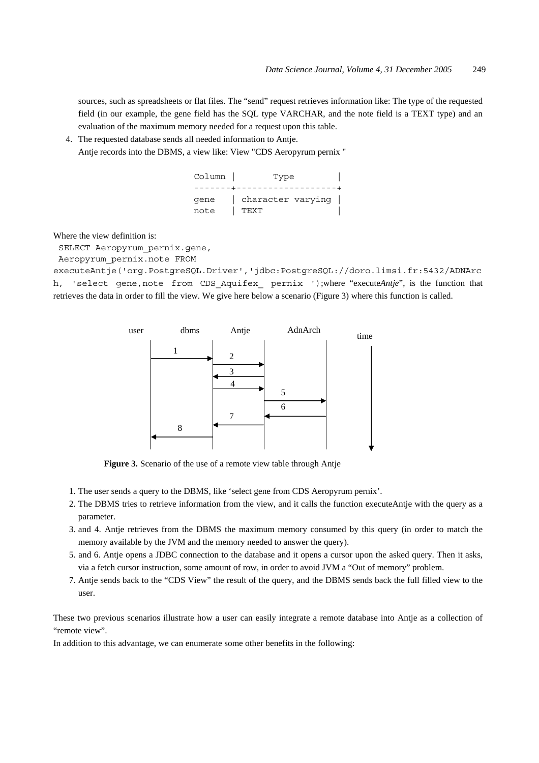sources, such as spreadsheets or flat files. The "send" request retrieves information like: The type of the requested field (in our example, the gene field has the SQL type VARCHAR, and the note field is a TEXT type) and an evaluation of the maximum memory needed for a request upon this table.

4. The requested database sends all needed information to Antje.

Antje records into the DBMS, a view like: View "CDS Aeropyrum pernix "

| Column | Type              |  |  |
|--------|-------------------|--|--|
|        |                   |  |  |
| qene   | character varying |  |  |
| note   | TEXT              |  |  |

Where the view definition is:

SELECT Aeropyrum\_pernix.gene,

Aeropyrum\_pernix.note FROM

executeAntje('org.PostgreSQL.Driver','jdbc:PostgreSQL://doro.limsi.fr:5432/ADNArc h, 'select gene,note from CDS Aquifex pernix ');where "execute*Antje*", is the function that retrieves the data in order to fill the view. We give here below a scenario (Figure 3) where this function is called.



**Figure 3.** Scenario of the use of a remote view table through Antje

- 1. The user sends a query to the DBMS, like 'select gene from CDS Aeropyrum pernix'.
- 2. The DBMS tries to retrieve information from the view, and it calls the function executeAntje with the query as a parameter.
- 3. and 4. Antje retrieves from the DBMS the maximum memory consumed by this query (in order to match the memory available by the JVM and the memory needed to answer the query).
- 5. and 6. Antje opens a JDBC connection to the database and it opens a cursor upon the asked query. Then it asks, via a fetch cursor instruction, some amount of row, in order to avoid JVM a "Out of memory" problem.
- 7. Antje sends back to the "CDS View" the result of the query, and the DBMS sends back the full filled view to the user.

These two previous scenarios illustrate how a user can easily integrate a remote database into Antje as a collection of "remote view".

In addition to this advantage, we can enumerate some other benefits in the following: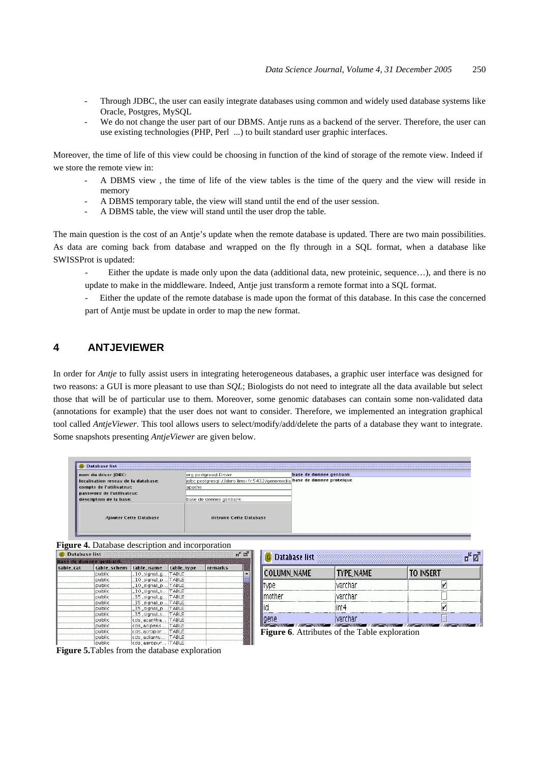- Through JDBC, the user can easily integrate databases using common and widely used database systems like Oracle, Postgres, MySQL
- We do not change the user part of our DBMS. Antje runs as a backend of the server. Therefore, the user can use existing technologies (PHP, Perl ...) to built standard user graphic interfaces.

Moreover, the time of life of this view could be choosing in function of the kind of storage of the remote view. Indeed if we store the remote view in:

- A DBMS view , the time of life of the view tables is the time of the query and the view will reside in memory
- A DBMS temporary table, the view will stand until the end of the user session.
- A DBMS table, the view will stand until the user drop the table.

The main question is the cost of an Antie's update when the remote database is updated. There are two main possibilities. As data are coming back from database and wrapped on the fly through in a SQL format, when a database like SWISSProt is updated:

Either the update is made only upon the data (additional data, new proteinic, sequence...), and there is no update to make in the middleware. Indeed, Antje just transform a remote format into a SQL format.

- Either the update of the remote database is made upon the format of this database. In this case the concerned part of Antje must be update in order to map the new format.

## **4 ANTJEVIEWER**

In order for *Antje* to fully assist users in integrating heterogeneous databases, a graphic user interface was designed for two reasons: a GUI is more pleasant to use than *SQL*; Biologists do not need to integrate all the data available but select those that will be of particular use to them. Moreover, some genomic databases can contain some non-validated data (annotations for example) that the user does not want to consider. Therefore, we implemented an integration graphical tool called *AntjeViewer*. This tool allows users to select/modify/add/delete the parts of a database they want to integrate. Some snapshots presenting *AntjeViewer* are given below.

| Database list                       |                                                                         |                        |
|-------------------------------------|-------------------------------------------------------------------------|------------------------|
| nom du driver JDBC:                 | org.postgresql.Driver                                                   | base de donnee genbank |
| localisation reseau de la database: | idbc:postgresql://doro.limsi.fr:5432/genomedia base de donnee proteique |                        |
| compte de l'utilisateur.            | lapache                                                                 |                        |
| password de l'utilisateur.          |                                                                         |                        |
| description de la base:             | base de donnee genbank                                                  |                        |
| <b>Ajouter Cette Database</b>       | detruire Cette Database                                                 |                        |

#### **Figure 4.** Database description and incorporation

| ਜ਼≤<br><b>Database list</b><br>ø |             |                    |              |         |  |
|----------------------------------|-------------|--------------------|--------------|---------|--|
| base de donnee genbank.          |             |                    |              |         |  |
| table cat                        | table schem | table_name         | table_type   | remarks |  |
|                                  | public      | 10 signal g.       | TABLE.       |         |  |
|                                  | public      | 10 signal p.       | TABLE.       |         |  |
|                                  | public      | 10_signal_p.       | <b>TABLE</b> |         |  |
|                                  | public      | $10$ signal s      | <b>TABLE</b> |         |  |
|                                  | public      | $-35$ signal $a$ . | <b>TABLE</b> |         |  |
|                                  | public.     | _35_signal_p.      | TABLE:       |         |  |
|                                  | public      | _35_signal_p.      | <b>TABLE</b> |         |  |
|                                  | public      | $-35$ signal $s$   | <b>TABLE</b> |         |  |
|                                  | public      | cds_acantha        | <b>TABLE</b> |         |  |
|                                  | public      | cds_acipens        | <b>TABLE</b> |         |  |
|                                  | public      | cds acropor        | <b>TABLE</b> |         |  |
|                                  | public      | cds adiantu        | <b>TABLE</b> |         |  |
|                                  | public      | cds aeropyr        | TABLE        |         |  |

| <b>COLUMN_NAME</b> | <b>TYPE_NAME</b> | <b>TO INSERT</b> |
|--------------------|------------------|------------------|
| ype                | varchar          |                  |
| mother             | varchar          |                  |
|                    | int4             |                  |
| gene               | varchar          |                  |

**Figure 6**. Attributes of the Table exploration

**Figure 5.**Tables from the database exploration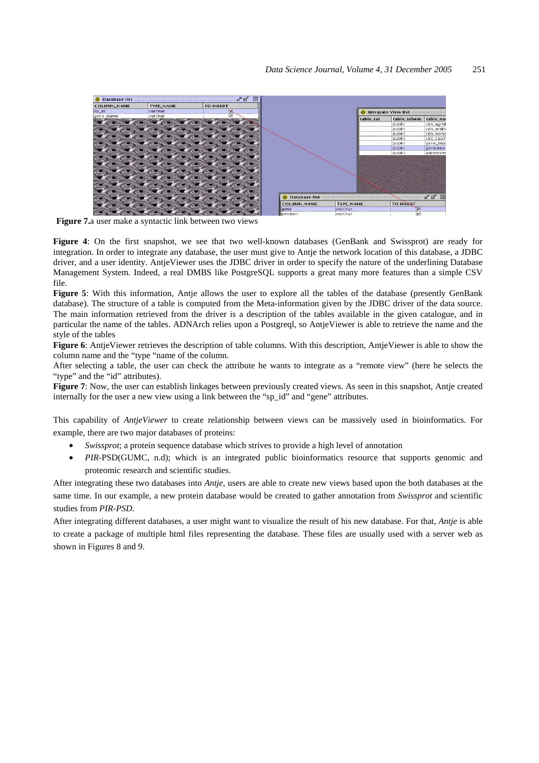

**Figure 7.**a user make a syntactic link between two views

**Figure 4**: On the first snapshot, we see that two well-known databases (GenBank and Swissprot) are ready for integration. In order to integrate any database, the user must give to Antje the network location of this database, a JDBC driver, and a user identity. AntjeViewer uses the JDBC driver in order to specify the nature of the underlining Database Management System. Indeed, a real DMBS like PostgreSQL supports a great many more features than a simple CSV file.

**Figure 5**: With this information, Antje allows the user to explore all the tables of the database (presently GenBank database). The structure of a table is computed from the Meta-information given by the JDBC driver of the data source. The main information retrieved from the driver is a description of the tables available in the given catalogue, and in particular the name of the tables. ADNArch relies upon a Postgreql, so AntjeViewer is able to retrieve the name and the style of the tables

**Figure 6**: AntjeViewer retrieves the description of table columns. With this description, AntjeViewer is able to show the column name and the "type "name of the column.

After selecting a table, the user can check the attribute he wants to integrate as a "remote view" (here he selects the "type" and the "id" attributes).

**Figure 7**: Now, the user can establish linkages between previously created views. As seen in this snapshot, Antje created internally for the user a new view using a link between the "sp\_id" and "gene" attributes.

This capability of *AntjeViewer* to create relationship between views can be massively used in bioinformatics. For example, there are two major databases of proteins:

- *Swissprot*; a protein sequence database which strives to provide a high level of annotation
- *PIR-*PSD(GUMC, n.d); which is an integrated public bioinformatics resource that supports genomic and proteomic research and scientific studies.

After integrating these two databases into *Antje*, users are able to create new views based upon the both databases at the same time. In our example, a new protein database would be created to gather annotation from *Swissprot* and scientific studies from *PIR-PSD*.

After integrating different databases, a user might want to visualize the result of his new database. For that, *Antje* is able to create a package of multiple html files representing the database. These files are usually used with a server web as shown in Figures 8 and 9.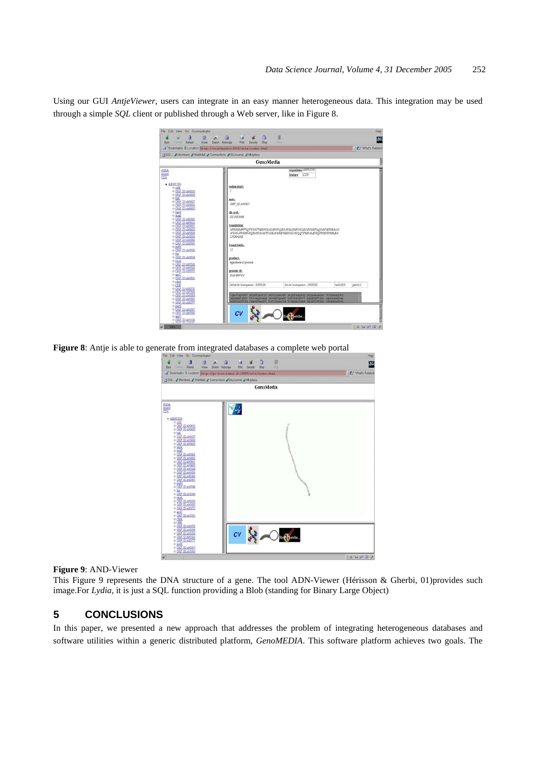Using our GUI *AntjeViewer*, users can integrate in an easy manner heterogeneous data. This integration may be used through a simple *SQL* client or published through a Web server, like in Figure 8.

| Ralosd<br>Eack<br>Home<br>finner.                                                                                                                                                                                                                                                                                                                                                                                                                                                                                                                        | Search Netscape<br>Print<br>300<br>Security                                                                                                                                                                                   | 24                                                                                                                                                                                                                           |                      | <b>FIFT</b> What's Related |
|----------------------------------------------------------------------------------------------------------------------------------------------------------------------------------------------------------------------------------------------------------------------------------------------------------------------------------------------------------------------------------------------------------------------------------------------------------------------------------------------------------------------------------------------------------|-------------------------------------------------------------------------------------------------------------------------------------------------------------------------------------------------------------------------------|------------------------------------------------------------------------------------------------------------------------------------------------------------------------------------------------------------------------------|----------------------|----------------------------|
| # Bookmans & Location http://courfeyraci8080/site/index.html<br>1 SGI_ 2 Members 2 WebMail 2 Connections 2 Biblournal 2 Mktplace                                                                                                                                                                                                                                                                                                                                                                                                                         |                                                                                                                                                                                                                               |                                                                                                                                                                                                                              |                      |                            |
|                                                                                                                                                                                                                                                                                                                                                                                                                                                                                                                                                          | GenoMedia                                                                                                                                                                                                                     |                                                                                                                                                                                                                              |                      | e                          |
| <b>tRNA</b><br>EXECUT<br><b>CDS</b><br>$-$ AB001339<br>o orte<br>o ORF ID strost0<br>o ORF ID strokes<br>o hid<br>o ORF ID stro607<br>o ORF ID strokes<br>o ORF ID strokes<br>$0$ lenA<br>o dniE<br>o ORF ID #10563<br>o ORF ID strokoz<br>o ORF ID stroket<br>o ORF ID strokeo<br>o ORF ID str0599<br>o ORF ID strosse<br>o ORF ID stross<br>o ORF ID stroses<br>o parH<br>o DRF 1D str0596<br>o pg<br>o ORF ID #10594<br>o recA<br>o ORF ID strongs<br>o ORF ID strosso<br>o ORF ID st0572<br>$0$ arc $C$<br><b>ORF ID:40591</b><br>o ribA<br>$0$ ribs | codon start:<br>note:<br>ORF 1D:400607<br><b>仙川山</b><br>G1:1653964<br>translation:<br>LYEKAIAE<br>transi table:<br>$_{II}$<br>product:<br>hypothetical protein<br>protein id:<br>BAA18874.1<br>debut de la sequence : 3569134 | organisme AB001339<br>CDS<br>feature<br>MTSIMMNTVQTYGKTVEKNYKAGEVIFQEGAVELSMFGVLEGEVEMTLQGKFIETIEAGG<br>IFORSAIVHSDHORASTAIAKTDCKLVAMDREHFLFAVOOTPMFALEVIONYSDRYRSLKA<br>fin de la sequence : 3569523                        | tallie389<br>partie! |                            |
| 0 ORF ID \$30576<br>o ORF ID str0590<br>o ORF ID strokes<br>o ORF ID str0588                                                                                                                                                                                                                                                                                                                                                                                                                                                                             |                                                                                                                                                                                                                               | tyactagoatt atyatyaatac oytgoamauyt atgytnagaoy ytgoamaugas ctacaaagcty<br>gygaggtaatt ttocaggaagg ogcegtggaat tytotatgitt gyggtyttgga aggogaagtag<br>agatgactttg caaggtaagtt tattgaaacca ttgaggoogs gycatttttgg cataggagoos |                      |                            |
| o DRF ID #10577<br>0 put<br>o ORF ID stride?<br>o ORF ID strosted<br>$\begin{array}{c}\n0 & \text{if } \text{SC} \\ 0 & \text{ORF} \\ \hline\n\end{array}$                                                                                                                                                                                                                                                                                                                                                                                               | cv                                                                                                                                                                                                                            | te of Jerche                                                                                                                                                                                                                 |                      |                            |

**Figure 8**: Antje is able to generate from integrated databases a complete web portal

| File Edit View Go Communicator<br>B<br>n<br>Λ<br>×<br>ls.<br>Back<br>Firent: Relad<br>Home<br>Search Netscape<br>Pitt<br>Security                                                                                                                                                                                                                                                                                                                                                                                                                                                                                                                        | Hep<br><sup>1</sup><br>a<br>N<br>m.<br>Shop |
|----------------------------------------------------------------------------------------------------------------------------------------------------------------------------------------------------------------------------------------------------------------------------------------------------------------------------------------------------------------------------------------------------------------------------------------------------------------------------------------------------------------------------------------------------------------------------------------------------------------------------------------------------------|---------------------------------------------|
| Pookmaks & Locaton: http://pc-less.limsi.fr:8080/site/index.html<br>SGI_ LiMenbers LWebMail LConnections LBitJournal LM/triace                                                                                                                                                                                                                                                                                                                                                                                                                                                                                                                           | Vi CJ* What's Related                       |
|                                                                                                                                                                                                                                                                                                                                                                                                                                                                                                                                                                                                                                                          | <b>GenoMedia</b>                            |
| <b>ENA</b><br>蝴<br>marca<br>CDS                                                                                                                                                                                                                                                                                                                                                                                                                                                                                                                                                                                                                          |                                             |
| $-$ AB001339<br>o crtE<br>o ORF ID article<br>o ORF ID sirongo<br>0 hid<br>o ORF ID stroket<br>o ORE ID-160606<br>o ORF ID:0005<br>$0$ lepA<br>o doug<br>o ORF 1D #80563<br>o ORF ID 199602<br>o ORE ID SHOW!<br>o ORF ID:sir0600<br>o ORF ID 100599<br>o ORF ID sir059<br><b>ORF ID:0054</b><br>0 ORE ID 10055<br>o prii<br>o ORF ID str0596<br>$0$ fig.<br>o ORF ID #2594<br>o recA<br>o ORF ID str0595<br>o ORF ID strong<br>o ORF ID 100572<br>0.002<br>o ORF ID 100591<br>0 rfM<br>o rite<br>o ORF ID:00576<br>o ORF ID at 0590<br>CV<br>o ORF ID strosse<br>o ORE ID str0588<br>o ORF ID #1057<br>0.02K<br><b>0 ORF ID 110587</b><br>o ORF IDunose | erche                                       |
|                                                                                                                                                                                                                                                                                                                                                                                                                                                                                                                                                                                                                                                          | 16000                                       |

**Figure 9**: AND-Viewer

This Figure 9 represents the DNA structure of a gene. The tool ADN-Viewer (Hérisson & Gherbi, 01)provides such image.For *Lydia*, it is just a SQL function providing a Blob (standing for Binary Large Object)

### **5 CONCLUSIONS**

In this paper, we presented a new approach that addresses the problem of integrating heterogeneous databases and software utilities within a generic distributed platform, *GenoMEDIA*. This software platform achieves two goals. The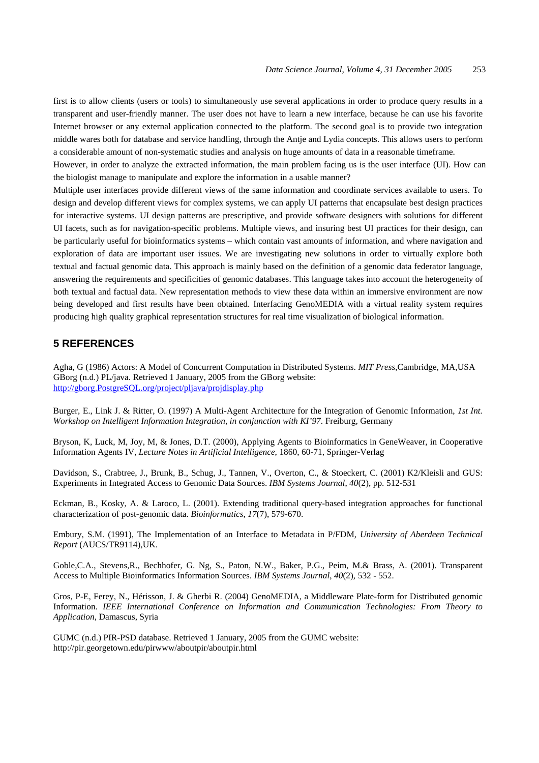first is to allow clients (users or tools) to simultaneously use several applications in order to produce query results in a transparent and user-friendly manner. The user does not have to learn a new interface, because he can use his favorite Internet browser or any external application connected to the platform. The second goal is to provide two integration middle wares both for database and service handling, through the Antje and Lydia concepts. This allows users to perform a considerable amount of non-systematic studies and analysis on huge amounts of data in a reasonable timeframe.

However, in order to analyze the extracted information, the main problem facing us is the user interface (UI). How can the biologist manage to manipulate and explore the information in a usable manner?

Multiple user interfaces provide different views of the same information and coordinate services available to users. To design and develop different views for complex systems, we can apply UI patterns that encapsulate best design practices for interactive systems. UI design patterns are prescriptive, and provide software designers with solutions for different UI facets, such as for navigation-specific problems. Multiple views, and insuring best UI practices for their design, can be particularly useful for bioinformatics systems – which contain vast amounts of information, and where navigation and exploration of data are important user issues. We are investigating new solutions in order to virtually explore both textual and factual genomic data. This approach is mainly based on the definition of a genomic data federator language, answering the requirements and specificities of genomic databases. This language takes into account the heterogeneity of both textual and factual data. New representation methods to view these data within an immersive environment are now being developed and first results have been obtained. Interfacing GenoMEDIA with a virtual reality system requires producing high quality graphical representation structures for real time visualization of biological information.

#### **5 REFERENCES**

Agha, G (1986) Actors: A Model of Concurrent Computation in Distributed Systems. *MIT Press*,Cambridge, MA,USA GBorg (n.d.) PL/java. Retrieved 1 January, 2005 from the GBorg website: http://gborg.PostgreSQL.org/project/pljava/projdisplay.php

Burger, E., Link J. & Ritter, O. (1997) A Multi-Agent Architecture for the Integration of Genomic Information, *1st Int. Workshop on Intelligent Information Integration, in conjunction with KI'97*. Freiburg, Germany

Bryson, K, Luck, M, Joy, M, & Jones, D.T. (2000), Applying Agents to Bioinformatics in GeneWeaver, in Cooperative Information Agents IV, *Lecture Notes in Artificial Intelligence*, 1860, 60-71, Springer-Verlag

Davidson, S., Crabtree, J., Brunk, B., Schug, J., Tannen, V., Overton, C., & Stoeckert, C. (2001) K2/Kleisli and GUS: Experiments in Integrated Access to Genomic Data Sources. *IBM Systems Journal*, *40*(2), pp. 512-531

Eckman, B., Kosky, A. & Laroco, L. (2001). Extending traditional query-based integration approaches for functional characterization of post-genomic data. *Bioinformatics, 17*(7), 579-670.

Embury, S.M. (1991), The Implementation of an Interface to Metadata in P/FDM, *University of Aberdeen Technical Report* (AUCS/TR9114),UK.

Goble,C.A., Stevens,R., Bechhofer, G. Ng, S., Paton, N.W., Baker, P.G., Peim, M.& Brass, A. (2001). Transparent Access to Multiple Bioinformatics Information Sources. *IBM Systems Journal*, *40*(2), 532 - 552.

Gros, P-E, Ferey, N., Hérisson, J. & Gherbi R. (2004) GenoMEDIA, a Middleware Plate-form for Distributed genomic Information. *IEEE International Conference on Information and Communication Technologies: From Theory to Application*, Damascus, Syria

GUMC (n.d.) PIR-PSD database. Retrieved 1 January, 2005 from the GUMC website: http://pir.georgetown.edu/pirwww/aboutpir/aboutpir.html